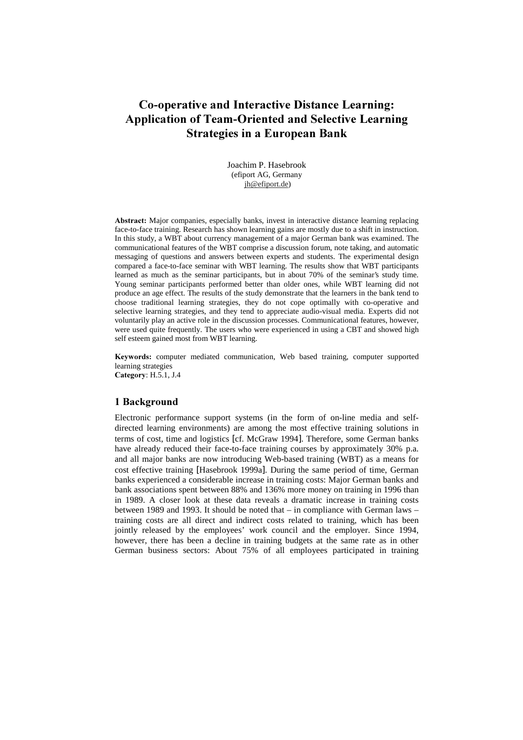# **Co-operative and Interactive Distance Learning: Application of Team-Oriented and Selective Learning Strategies in a European Bank**

Joachim P. Hasebrook (efiport AG, Germany jh@efiport.de)

Abstract: Major companies, especially banks, invest in interactive distance learning replacing face-to-face training. Research has shown learning gains are mostly due to a shift in instruction. In this study, a WBT about currency management of a major German bank was examined. The communicational features of the WBT comprise a discussion forum, note taking, and automatic messaging of questions and answers between experts and students. The experimental design compared a face-to-face seminar with WBT learning. The results show that WBT participants learned as much as the seminar participants, but in about 70% of the seminar's study time. Young seminar participants performed better than older ones, while WBT learning did not produce an age effect. The results of the study demonstrate that the learners in the bank tend to choose traditional learning strategies, they do not cope optimally with co-operative and selective learning strategies, and they tend to appreciate audio-visual media. Experts did not voluntarily play an active role in the discussion processes. Communicational features, however, were used quite frequently. The users who were experienced in using a CBT and showed high self esteem gained most from WBT learning.

Keywords: computer mediated communication, Web based training, computer supported learning strategies Category: H.5.1, J.4

# 1 Background

Electronic performance support systems (in the form of on-line media and selfdirected learning environments) are among the most effective training solutions in terms of cost, time and logistics [cf. McGraw 1994]. Therefore, some German banks have already reduced their face-to-face training courses by approximately 30% p.a. and all major banks are now introducing Web-based training (WBT) as a means for cost effective training [Hasebrook 1999a]. During the same period of time, German banks experienced a considerable increase in training costs: Major German banks and bank associations spent between 88% and 136% more money on training in 1996 than in 1989. A closer look at these data reveals a dramatic increase in training costs between 1989 and 1993. It should be noted that – in compliance with German laws – training costs are all direct and indirect costs related to training, which has been jointly released by the employees' work council and the employer. Since 1994, however, there has been a decline in training budgets at the same rate as in other German business sectors: About 75% of all employees participated in training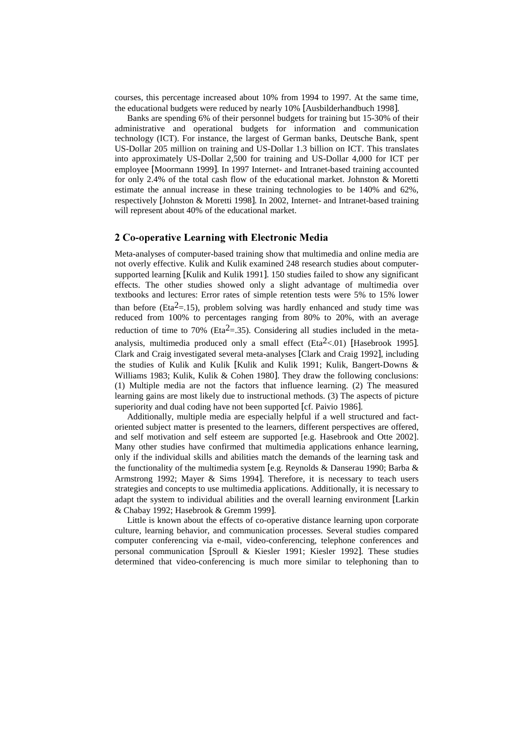courses, this percentage increased about 10% from 1994 to 1997. At the same time, the educational budgets were reduced by nearly 10% [Ausbilderhandbuch 1998].

Banks are spending 6% of their personnel budgets for training but 15-30% of their administrative and operational budgets for information and communication technology (ICT). For instance, the largest of German banks, Deutsche Bank, spent US-Dollar 205 million on training and US-Dollar 1.3 billion on ICT. This translates into approximately US-Dollar 2,500 for training and US-Dollar 4,000 for ICT per employee [Moormann 1999]. In 1997 Internet- and Intranet-based training accounted for only 2.4% of the total cash flow of the educational market. Johnston & Moretti estimate the annual increase in these training technologies to be 140% and 62%, respectively [Johnston & Moretti 1998]. In 2002, Internet- and Intranet-based training will represent about 40% of the educational market.

# 2 Co-operative Learning with Electronic Media

Meta-analyses of computer-based training show that multimedia and online media are not overly effective. Kulik and Kulik examined 248 research studies about computersupported learning [Kulik and Kulik 1991]. 150 studies failed to show any significant effects. The other studies showed only a slight advantage of multimedia over textbooks and lectures: Error rates of simple retention tests were 5% to 15% lower than before (Eta<sup>2</sup>=.15), problem solving was hardly enhanced and study time was reduced from 100% to percentages ranging from 80% to 20%, with an average reduction of time to 70% (Eta<sup>2</sup>=.35). Considering all studies included in the metaanalysis, multimedia produced only a small effect (Eta<sup>2</sup> <.01) [Hasebrook 1995]. Clark and Craig investigated several meta-analyses [Clark and Craig 1992], including the studies of Kulik and Kulik [Kulik and Kulik 1991; Kulik, Bangert-Downs & Williams 1983; Kulik, Kulik & Cohen 1980]. They draw the following conclusions: (1) Multiple media are not the factors that influence learning. (2) The measured learning gains are most likely due to instructional methods. (3) The aspects of picture superiority and dual coding have not been supported [cf. Paivio 1986].

Additionally, multiple media are especially helpful if a well structured and factoriented subject matter is presented to the learners, different perspectives are offered, and self motivation and self esteem are supported [e.g. Hasebrook and Otte 2002]. Many other studies have confirmed that multimedia applications enhance learning, only if the individual skills and abilities match the demands of the learning task and the functionality of the multimedia system [e.g. Reynolds & Danserau 1990; Barba & Armstrong 1992; Mayer & Sims 1994]. Therefore, it is necessary to teach users strategies and concepts to use multimedia applications. Additionally, it is necessary to adapt the system to individual abilities and the overall learning environment [Larkin & Chabay 1992; Hasebrook & Gremm 1999].

Little is known about the effects of co-operative distance learning upon corporate culture, learning behavior, and communication processes. Several studies compared computer conferencing via e-mail, video-conferencing, telephone conferences and personal communication [Sproull & Kiesler 1991; Kiesler 1992]. These studies determined that video-conferencing is much more similar to telephoning than to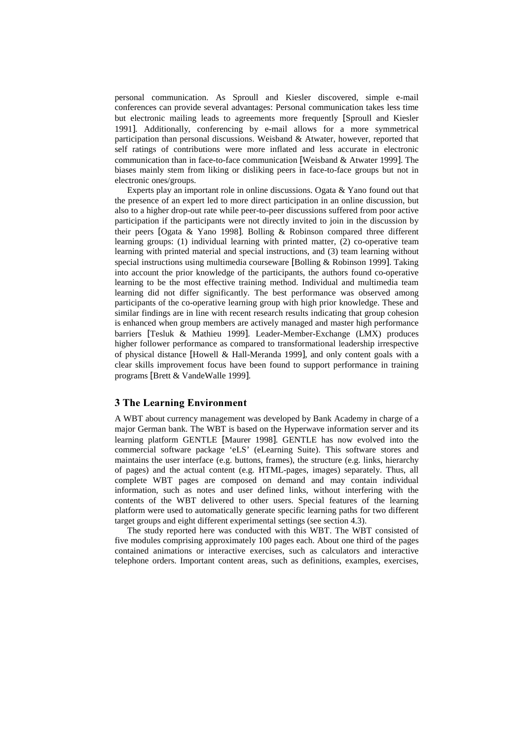personal communication. As Sproull and Kiesler discovered, simple e-mail conferences can provide several advantages: Personal communication takes less time but electronic mailing leads to agreements more frequently [Sproull and Kiesler 1991]. Additionally, conferencing by e-mail allows for a more symmetrical participation than personal discussions. Weisband & Atwater, however, reported that self ratings of contributions were more inflated and less accurate in electronic communication than in face-to-face communication [Weisband & Atwater 1999]. The biases mainly stem from liking or disliking peers in face-to-face groups but not in electronic ones/groups.

Experts play an important role in online discussions. Ogata & Yano found out that the presence of an expert led to more direct participation in an online discussion, but also to a higher drop-out rate while peer-to-peer discussions suffered from poor active participation if the participants were not directly invited to join in the discussion by their peers [Ogata & Yano 1998]. Bolling & Robinson compared three different learning groups: (1) individual learning with printed matter, (2) co-operative team learning with printed material and special instructions, and (3) team learning without special instructions using multimedia courseware [Bolling & Robinson 1999]. Taking into account the prior knowledge of the participants, the authors found co-operative learning to be the most effective training method. Individual and multimedia team learning did not differ significantly. The best performance was observed among participants of the co-operative learning group with high prior knowledge. These and similar findings are in line with recent research results indicating that group cohesion is enhanced when group members are actively managed and master high performance barriers [Tesluk & Mathieu 1999]. Leader-Member-Exchange (LMX) produces higher follower performance as compared to transformational leadership irrespective of physical distance [Howell & Hall-Meranda 1999], and only content goals with a clear skills improvement focus have been found to support performance in training programs [Brett & VandeWalle 1999].

# 3 The Learning Environment

A WBT about currency management was developed by Bank Academy in charge of a major German bank. The WBT is based on the Hyperwave information server and its learning platform GENTLE [Maurer 1998]. GENTLE has now evolved into the commercial software package 'eLS' (eLearning Suite). This software stores and maintains the user interface (e.g. buttons, frames), the structure (e.g. links, hierarchy of pages) and the actual content (e.g. HTML-pages, images) separately. Thus, all complete WBT pages are composed on demand and may contain individual information, such as notes and user defined links, without interfering with the contents of the WBT delivered to other users. Special features of the learning platform were used to automatically generate specific learning paths for two different target groups and eight different experimental settings (see section 4.3).

The study reported here was conducted with this WBT. The WBT consisted of five modules comprising approximately 100 pages each. About one third of the pages contained animations or interactive exercises, such as calculators and interactive telephone orders. Important content areas, such as definitions, examples, exercises,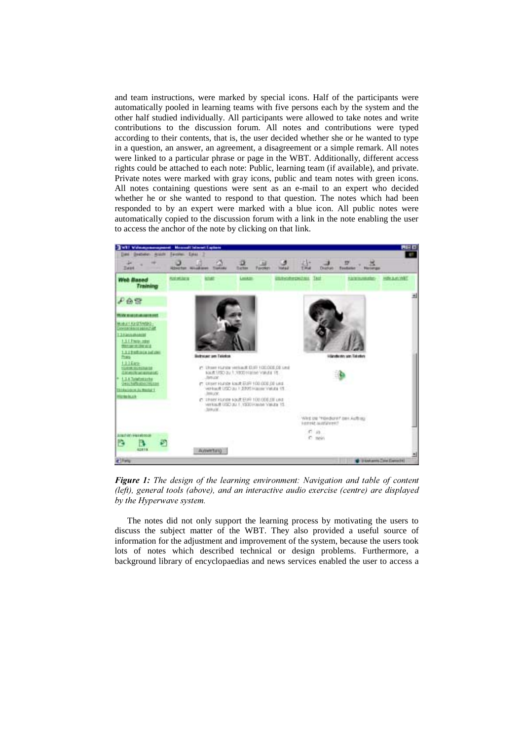and team instructions, were marked by special icons. Half of the participants were automatically pooled in learning teams with five persons each by the system and the other half studied individually. All participants were allowed to take notes and write contributions to the discussion forum. All notes and contributions were typed according to their contents, that is, the user decided whether she or he wanted to type in a question, an answer, an agreement, a disagreement or a simple remark. All notes were linked to a particular phrase or page in the WBT. Additionally, different access rights could be attached to each note: Public, learning team (if available), and private. Private notes were marked with gray icons, public and team notes with green icons. All notes containing questions were sent as an e-mail to an expert who decided whether he or she wanted to respond to that question. The notes which had been responded to by an expert were marked with a blue icon. All public notes were automatically copied to the discussion forum with a link in the note enabling the user to access the anchor of the note by clicking on that link.



Figure 1: The design of the learning environment: Navigation and table of content (left), general tools (above), and an interactive audio exercise (centre) are displayed by the Hyperwave system.

The notes did not only support the learning process by motivating the users to discuss the subject matter of the WBT. They also provided a useful source of information for the adjustment and improvement of the system, because the users took lots of notes which described technical or design problems. Furthermore, a background library of encyclopaedias and news services enabled the user to access a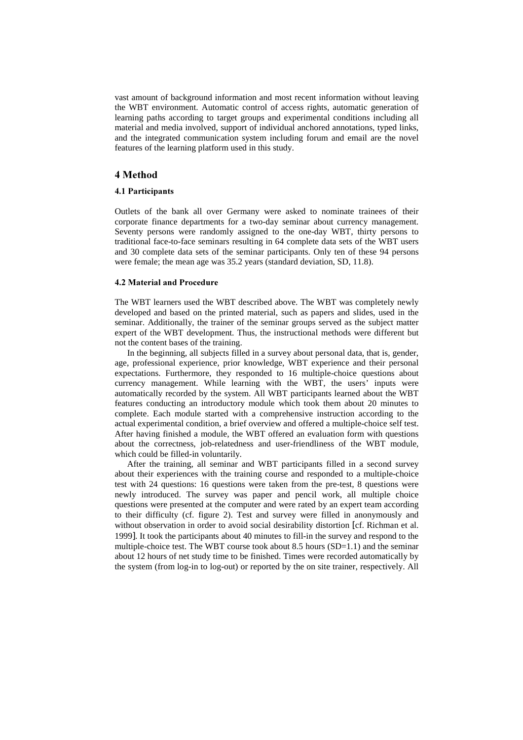vast amount of background information and most recent information without leaving the WBT environment. Automatic control of access rights, automatic generation of learning paths according to target groups and experimental conditions including all material and media involved, support of individual anchored annotations, typed links, and the integrated communication system including forum and email are the novel features of the learning platform used in this study.

# 4 Method

#### 4.1 Participants

Outlets of the bank all over Germany were asked to nominate trainees of their corporate finance departments for a two-day seminar about currency management. Seventy persons were randomly assigned to the one-day WBT, thirty persons to traditional face-to-face seminars resulting in 64 complete data sets of the WBT users and 30 complete data sets of the seminar participants. Only ten of these 94 persons were female; the mean age was 35.2 years (standard deviation, SD, 11.8).

#### 4.2 Material and Procedure

The WBT learners used the WBT described above. The WBT was completely newly developed and based on the printed material, such as papers and slides, used in the seminar. Additionally, the trainer of the seminar groups served as the subject matter expert of the WBT development. Thus, the instructional methods were different but not the content bases of the training.

In the beginning, all subjects filled in a survey about personal data, that is, gender, age, professional experience, prior knowledge, WBT experience and their personal expectations. Furthermore, they responded to 16 multiple-choice questions about currency management. While learning with the WBT, the users' inputs were automatically recorded by the system. All WBT participants learned about the WBT features conducting an introductory module which took them about 20 minutes to complete. Each module started with a comprehensive instruction according to the actual experimental condition, a brief overview and offered a multiple-choice self test. After having finished a module, the WBT offered an evaluation form with questions about the correctness, job-relatedness and user-friendliness of the WBT module, which could be filled-in voluntarily.

After the training, all seminar and WBT participants filled in a second survey about their experiences with the training course and responded to a multiple-choice test with 24 questions: 16 questions were taken from the pre-test, 8 questions were newly introduced. The survey was paper and pencil work, all multiple choice questions were presented at the computer and were rated by an expert team according to their difficulty (cf. figure 2). Test and survey were filled in anonymously and without observation in order to avoid social desirability distortion [cf. Richman et al. 1999]. It took the participants about 40 minutes to fill-in the survey and respond to the multiple-choice test. The WBT course took about 8.5 hours  $(SD=1.1)$  and the seminar about 12 hours of net study time to be finished. Times were recorded automatically by the system (from log-in to log-out) or reported by the on site trainer, respectively. All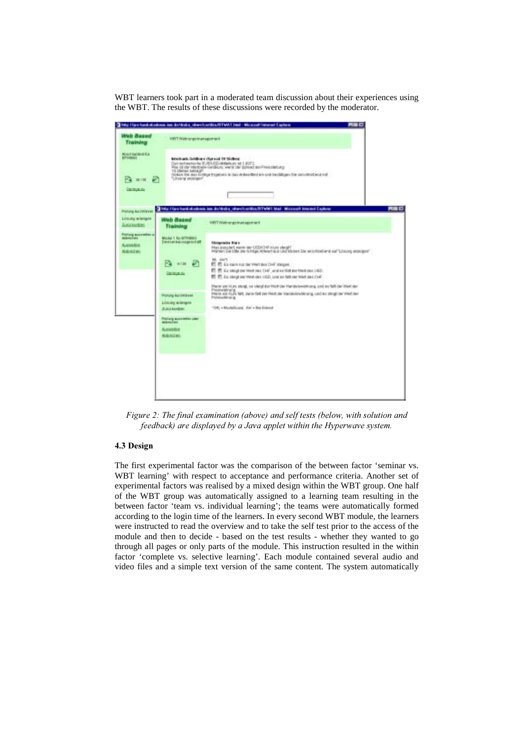WBT learners took part in a moderated team discussion about their experiences using the WBT. The results of these discussions were recorded by the moderator.



Figure 2: The final examination (above) and self tests (below, with solution and feedback) are displayed by a Java applet within the Hyperwave system.

# 4.3 Design

The first experimental factor was the comparison of the between factor 'seminar vs. WBT learning' with respect to acceptance and performance criteria. Another set of experimental factors was realised by a mixed design within the WBT group. One half of the WBT group was automatically assigned to a learning team resulting in the between factor 'team vs. individual learning'; the teams were automatically formed according to the login time of the learners. In every second WBT module, the learners were instructed to read the overview and to take the self test prior to the access of the module and then to decide - based on the test results - whether they wanted to go through all pages or only parts of the module. This instruction resulted in the within factor 'complete vs. selective learning'. Each module contained several audio and video files and a simple text version of the same content. The system automatically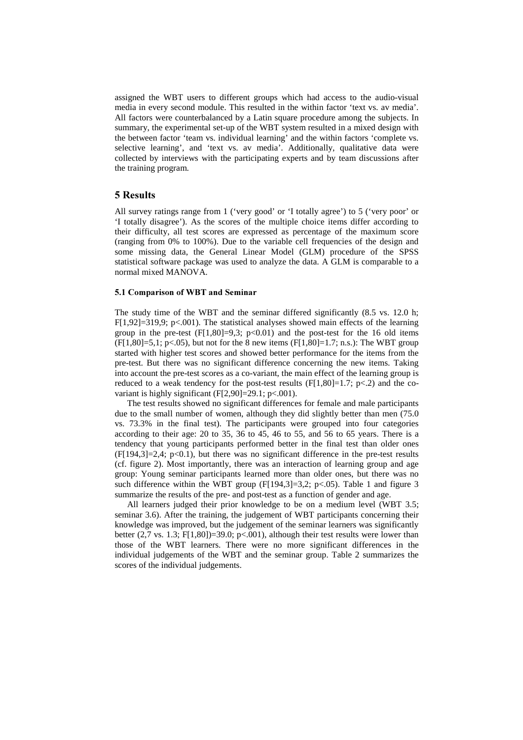assigned the WBT users to different groups which had access to the audio-visual media in every second module. This resulted in the within factor 'text vs. av media'. All factors were counterbalanced by a Latin square procedure among the subjects. In summary, the experimental set-up of the WBT system resulted in a mixed design with the between factor 'team vs. individual learning' and the within factors 'complete vs. selective learning', and 'text vs. av media'. Additionally, qualitative data were collected by interviews with the participating experts and by team discussions after the training program.

#### 5 Results

All survey ratings range from 1 ('very good' or 'I totally agree') to 5 ('very poor' or 'I totally disagree'). As the scores of the multiple choice items differ according to their difficulty, all test scores are expressed as percentage of the maximum score (ranging from 0% to 100%). Due to the variable cell frequencies of the design and some missing data, the General Linear Model (GLM) procedure of the SPSS statistical software package was used to analyze the data. A GLM is comparable to a normal mixed MANOVA.

#### 5.1 Comparison of WBT and Seminar

The study time of the WBT and the seminar differed significantly (8.5 vs. 12.0 h;  $F[1,92]=319.9$ ; p<.001). The statistical analyses showed main effects of the learning group in the pre-test  $(F[1,80]=9.3; p<0.01)$  and the post-test for the 16 old items  $(F[1,80]=5.1; p<0.05)$ , but not for the 8 new items  $(F[1,80]=1.7; n.s.)$ : The WBT group started with higher test scores and showed better performance for the items from the pre-test. But there was no significant difference concerning the new items. Taking into account the pre-test scores as a co-variant, the main effect of the learning group is reduced to a weak tendency for the post-test results  $(F[1,80]=1.7; p<.2)$  and the covariant is highly significant  $(F[2,90]=29.1; p<.001)$ .

The test results showed no significant differences for female and male participants due to the small number of women, although they did slightly better than men (75.0 vs. 73.3% in the final test). The participants were grouped into four categories according to their age: 20 to 35, 36 to 45, 46 to 55, and 56 to 65 years. There is a tendency that young participants performed better in the final test than older ones  $(F[194,3]=2,4; p<0.1)$ , but there was no significant difference in the pre-test results (cf. figure 2). Most importantly, there was an interaction of learning group and age group: Young seminar participants learned more than older ones, but there was no such difference within the WBT group (F[194,3]=3,2; p<.05). Table 1 and figure 3 summarize the results of the pre- and post-test as a function of gender and age.

All learners judged their prior knowledge to be on a medium level (WBT 3.5; seminar 3.6). After the training, the judgement of WBT participants concerning their knowledge was improved, but the judgement of the seminar learners was significantly better (2,7 vs. 1.3; F[1,80])=39.0; p<.001), although their test results were lower than those of the WBT learners. There were no more significant differences in the individual judgements of the WBT and the seminar group. Table 2 summarizes the scores of the individual judgements.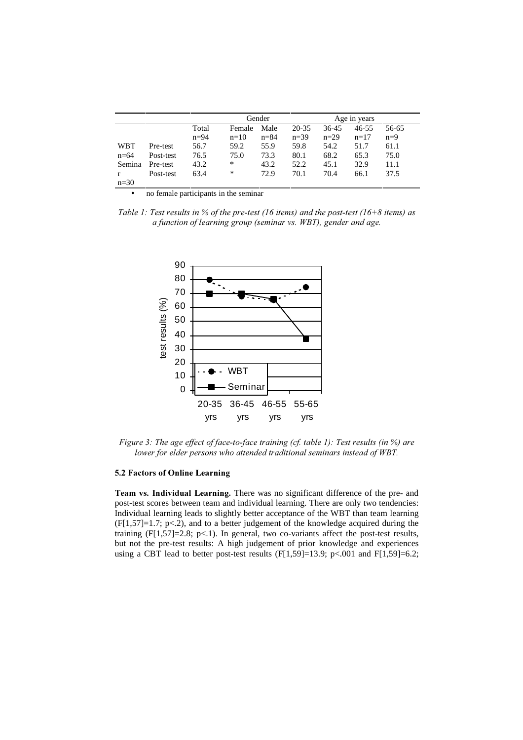|            |           | Gender   |        |          | Age in years |        |           |       |
|------------|-----------|----------|--------|----------|--------------|--------|-----------|-------|
|            |           | Total    | Female | Male     | $20 - 35$    | 36-45  | $46 - 55$ | 56-65 |
|            |           | $n = 94$ | $n=10$ | $n = 84$ | $n=39$       | $n=29$ | $n=17$    | $n=9$ |
| <b>WBT</b> | Pre-test  | 56.7     | 59.2   | 55.9     | 59.8         | 54.2   | 51.7      | 61.1  |
| $n=64$     | Post-test | 76.5     | 75.0   | 73.3     | 80.1         | 68.2   | 65.3      | 75.0  |
| Semina     | Pre-test  | 43.2     | *      | 43.2     | 52.2         | 45.1   | 32.9      | 11.1  |
|            | Post-test | 63.4     | *      | 72.9     | 70.1         | 70.4   | 66.1      | 37.5  |
| $n=30$     |           |          |        |          |              |        |           |       |

• no female participants in the seminar

Table 1: Test results in % of the pre-test (16 items) and the post-test (16+8 items) as a function of learning group (seminar vs. WBT), gender and age.



Figure 3: The age effect of face-to-face training (cf. table 1): Test results (in %) are lower for elder persons who attended traditional seminars instead of WBT.

#### 5.2 Factors of Online Learning

Team vs. Individual Learning. There was no significant difference of the pre- and post-test scores between team and individual learning. There are only two tendencies: Individual learning leads to slightly better acceptance of the WBT than team learning (F[1,57]=1.7; p<.2), and to a better judgement of the knowledge acquired during the training  $(F[1,57]=2.8; p<1)$ . In general, two co-variants affect the post-test results, but not the pre-test results: A high judgement of prior knowledge and experiences using a CBT lead to better post-test results  $(F[1,59]=13.9; p<.001$  and  $F[1,59]=6.2;$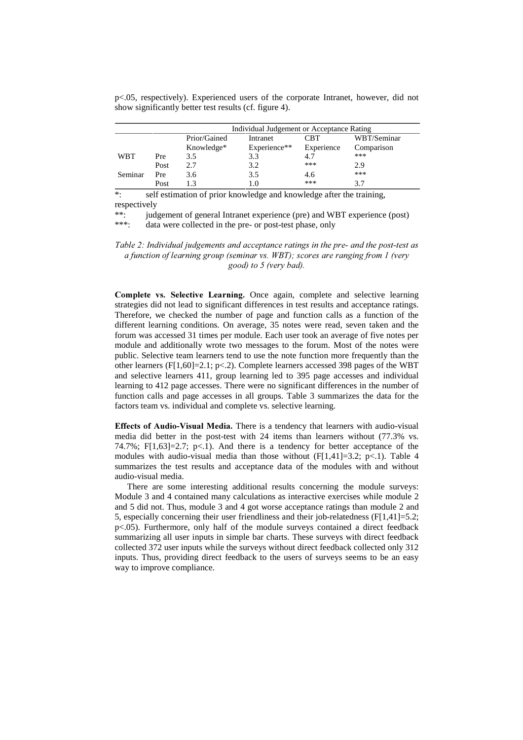p<.05, respectively). Experienced users of the corporate Intranet, however, did not show significantly better test results (cf. figure 4).

|            |      | Individual Judgement or Acceptance Rating |              |            |             |  |  |
|------------|------|-------------------------------------------|--------------|------------|-------------|--|--|
|            |      | Prior/Gained                              | Intranet     | CBT        | WBT/Seminar |  |  |
|            |      | Knowledge*                                | Experience** | Experience | Comparison  |  |  |
| <b>WBT</b> | Pre  | 3.5                                       | 3.3          | 4.7        | ***         |  |  |
|            | Post | 2.7                                       | 3.2          | ***        | 2.9         |  |  |
| Seminar    | Pre  | 3.6                                       | 3.5          | 4.6        | ***         |  |  |
|            | Post |                                           | 1.0          | ***        | 3.7         |  |  |

\*: self estimation of prior knowledge and knowledge after the training, respectively

\*\*: judgement of general Intranet experience (pre) and WBT experience (post)

\*\*\*: data were collected in the pre- or post-test phase, only

Table 2: Individual judgements and acceptance ratings in the pre- and the post-test as a function of learning group (seminar vs. WBT); scores are ranging from 1 (very good) to 5 (very bad).

Complete vs. Selective Learning. Once again, complete and selective learning strategies did not lead to significant differences in test results and acceptance ratings. Therefore, we checked the number of page and function calls as a function of the different learning conditions. On average, 35 notes were read, seven taken and the forum was accessed 31 times per module. Each user took an average of five notes per module and additionally wrote two messages to the forum. Most of the notes were public. Selective team learners tend to use the note function more frequently than the other learners (F[1,60]=2.1; p<.2). Complete learners accessed 398 pages of the WBT and selective learners 411, group learning led to 395 page accesses and individual learning to 412 page accesses. There were no significant differences in the number of function calls and page accesses in all groups. Table 3 summarizes the data for the factors team vs. individual and complete vs. selective learning.

Effects of Audio-Visual Media. There is a tendency that learners with audio-visual media did better in the post-test with 24 items than learners without (77.3% vs. 74.7%;  $F[1,63]=2.7$ ;  $p<1$ ). And there is a tendency for better acceptance of the modules with audio-visual media than those without  $(F[1,41]=3.2; p<.1)$ . Table 4 summarizes the test results and acceptance data of the modules with and without audio-visual media.

There are some interesting additional results concerning the module surveys: Module 3 and 4 contained many calculations as interactive exercises while module 2 and 5 did not. Thus, module 3 and 4 got worse acceptance ratings than module 2 and 5, especially concerning their user friendliness and their job-relatedness (F[1,41]=5.2; p<.05). Furthermore, only half of the module surveys contained a direct feedback summarizing all user inputs in simple bar charts. These surveys with direct feedback collected 372 user inputs while the surveys without direct feedback collected only 312 inputs. Thus, providing direct feedback to the users of surveys seems to be an easy way to improve compliance.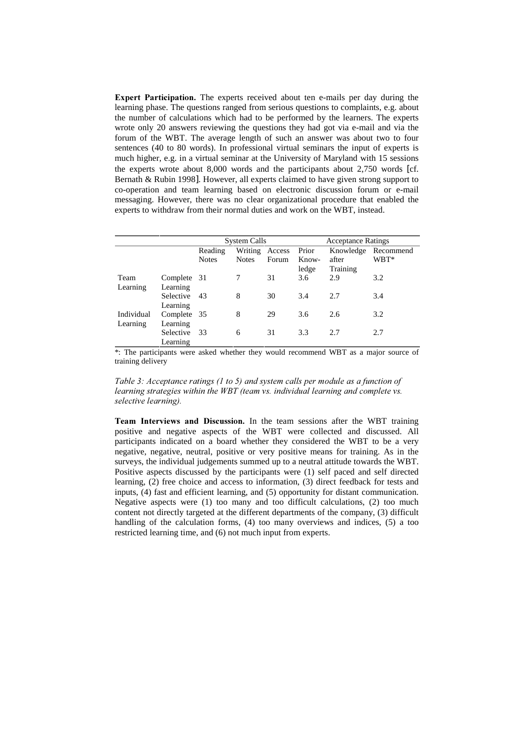Expert Participation. The experts received about ten e-mails per day during the learning phase. The questions ranged from serious questions to complaints, e.g. about the number of calculations which had to be performed by the learners. The experts wrote only 20 answers reviewing the questions they had got via e-mail and via the forum of the WBT. The average length of such an answer was about two to four sentences (40 to 80 words). In professional virtual seminars the input of experts is much higher, e.g. in a virtual seminar at the University of Maryland with 15 sessions the experts wrote about 8,000 words and the participants about 2,750 words [cf. Bernath & Rubin 1998]. However, all experts claimed to have given strong support to co-operation and team learning based on electronic discussion forum or e-mail messaging. However, there was no clear organizational procedure that enabled the experts to withdraw from their normal duties and work on the WBT, instead.

|            |             | System Calls |              |        | <b>Acceptance Ratings</b> |           |           |
|------------|-------------|--------------|--------------|--------|---------------------------|-----------|-----------|
|            |             | Reading      | Writing      | Access | Prior                     | Knowledge | Recommend |
|            |             | <b>Notes</b> | <b>Notes</b> | Forum  | Know-                     | after     | WBT*      |
|            |             |              |              |        | ledge                     | Training  |           |
| Team       | Complete 31 |              |              | 31     | 3.6                       | 2.9       | 3.2       |
| Learning   | Learning    |              |              |        |                           |           |           |
|            | Selective   | -43          | 8            | 30     | 3.4                       | 2.7       | 3.4       |
|            | Learning    |              |              |        |                           |           |           |
| Individual | Complete 35 |              | 8            | 29     | 3.6                       | 2.6       | 3.2       |
| Learning   | Learning    |              |              |        |                           |           |           |
|            | Selective   | 33           | 6            | 31     | 3.3                       | 2.7       | 2.7       |
|            | Learning    |              |              |        |                           |           |           |

\*: The participants were asked whether they would recommend WBT as a major source of training delivery

Table 3: Acceptance ratings (1 to 5) and system calls per module as a function of learning strategies within the WBT (team vs. individual learning and complete vs. selective learning).

Team Interviews and Discussion. In the team sessions after the WBT training positive and negative aspects of the WBT were collected and discussed. All participants indicated on a board whether they considered the WBT to be a very negative, negative, neutral, positive or very positive means for training. As in the surveys, the individual judgements summed up to a neutral attitude towards the WBT. Positive aspects discussed by the participants were (1) self paced and self directed learning, (2) free choice and access to information, (3) direct feedback for tests and inputs, (4) fast and efficient learning, and (5) opportunity for distant communication. Negative aspects were (1) too many and too difficult calculations, (2) too much content not directly targeted at the different departments of the company, (3) difficult handling of the calculation forms, (4) too many overviews and indices, (5) a too restricted learning time, and (6) not much input from experts.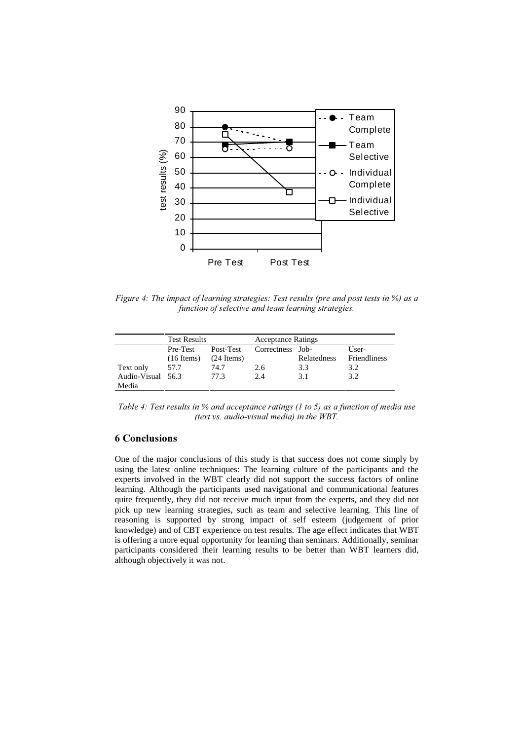

Figure 4: The impact of learning strategies: Test results (pre and post tests in %) as a function of selective and team learning strategies.

|                   | <b>Test Results</b> |                     | <b>Acceptance Ratings</b> |             |                     |  |
|-------------------|---------------------|---------------------|---------------------------|-------------|---------------------|--|
|                   | Pre-Test            | Post-Test           | Correctness Job-          |             | User-               |  |
|                   | $(16$ Items)        | $(24 \text{Items})$ |                           | Relatedness | <b>Friendliness</b> |  |
| Text only         | 57.7                | 74.7                | 2.6                       | 3.3         | 3.2                 |  |
| Audio-Visual 56.3 |                     | 77.3                | 2.4                       | 3.1         | 3.2                 |  |
| Media             |                     |                     |                           |             |                     |  |

Table 4: Test results in % and acceptance ratings (1 to 5) as a function of media use (text vs. audio-visual media) in the WBT.

# 6 Conclusions

One of the major conclusions of this study is that success does not come simply by using the latest online techniques: The learning culture of the participants and the experts involved in the WBT clearly did not support the success factors of online learning. Although the participants used navigational and communicational features quite frequently, they did not receive much input from the experts, and they did not pick up new learning strategies, such as team and selective learning. This line of reasoning is supported by strong impact of self esteem (judgement of prior knowledge) and of CBT experience on test results. The age effect indicates that WBT is offering a more equal opportunity for learning than seminars. Additionally, seminar participants considered their learning results to be better than WBT learners did, although objectively it was not.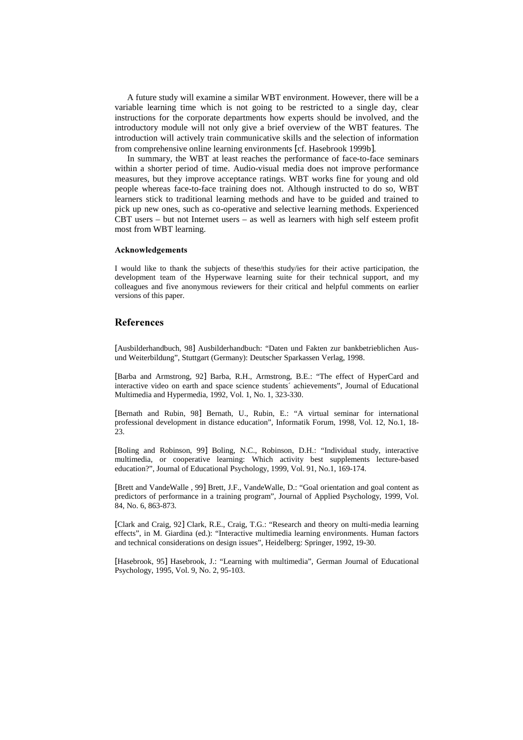A future study will examine a similar WBT environment. However, there will be a variable learning time which is not going to be restricted to a single day, clear instructions for the corporate departments how experts should be involved, and the introductory module will not only give a brief overview of the WBT features. The introduction will actively train communicative skills and the selection of information from comprehensive online learning environments [cf. Hasebrook 1999b].

In summary, the WBT at least reaches the performance of face-to-face seminars within a shorter period of time. Audio-visual media does not improve performance measures, but they improve acceptance ratings. WBT works fine for young and old people whereas face-to-face training does not. Although instructed to do so, WBT learners stick to traditional learning methods and have to be guided and trained to pick up new ones, such as co-operative and selective learning methods. Experienced CBT users – but not Internet users – as well as learners with high self esteem profit most from WBT learning.

#### **Acknowledgements**

I would like to thank the subjects of these/this study/ies for their active participation, the development team of the Hyperwave learning suite for their technical support, and my colleagues and five anonymous reviewers for their critical and helpful comments on earlier versions of this paper.

### **References**

[Ausbilderhandbuch, 98] Ausbilderhandbuch: "Daten und Fakten zur bankbetrieblichen Ausund Weiterbildung", Stuttgart (Germany): Deutscher Sparkassen Verlag, 1998.

[Barba and Armstrong, 92] Barba, R.H., Armstrong, B.E.: "The effect of HyperCard and interactive video on earth and space science students´ achievements", Journal of Educational Multimedia and Hypermedia, 1992, Vol. 1, No. 1, 323-330.

[Bernath and Rubin, 98] Bernath, U., Rubin, E.: "A virtual seminar for international professional development in distance education", Informatik Forum, 1998, Vol. 12, No.1, 18- 23.

[Boling and Robinson, 99] Boling, N.C., Robinson, D.H.: "Individual study, interactive multimedia, or cooperative learning: Which activity best supplements lecture-based education?", Journal of Educational Psychology, 1999, Vol. 91, No.1, 169-174.

[Brett and VandeWalle , 99] Brett, J.F., VandeWalle, D.: "Goal orientation and goal content as predictors of performance in a training program", Journal of Applied Psychology, 1999, Vol. 84, No. 6, 863-873.

[Clark and Craig, 92] Clark, R.E., Craig, T.G.: "Research and theory on multi-media learning effects", in M. Giardina (ed.): "Interactive multimedia learning environments. Human factors and technical considerations on design issues", Heidelberg: Springer, 1992, 19-30.

[Hasebrook, 95] Hasebrook, J.: "Learning with multimedia", German Journal of Educational Psychology, 1995, Vol. 9, No. 2, 95-103.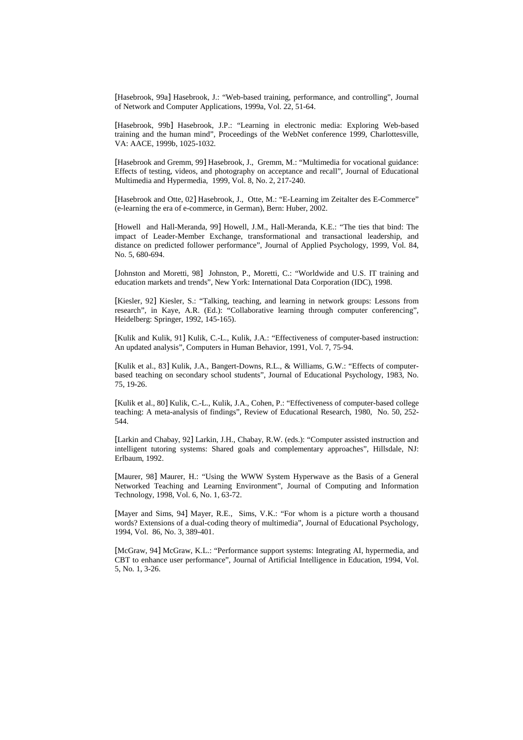[Hasebrook, 99a] Hasebrook, J.: "Web-based training, performance, and controlling", Journal of Network and Computer Applications, 1999a, Vol. 22, 51-64.

[Hasebrook, 99b] Hasebrook, J.P.: "Learning in electronic media: Exploring Web-based training and the human mind", Proceedings of the WebNet conference 1999, Charlottesville, VA: AACE, 1999b, 1025-1032.

[Hasebrook and Gremm, 99] Hasebrook, J., Gremm, M.: "Multimedia for vocational guidance: Effects of testing, videos, and photography on acceptance and recall", Journal of Educational Multimedia and Hypermedia, 1999, Vol. 8, No. 2, 217-240.

[Hasebrook and Otte, 02] Hasebrook, J., Otte, M.: "E-Learning im Zeitalter des E-Commerce" (e-learning the era of e-commerce, in German), Bern: Huber, 2002.

[Howell and Hall-Meranda, 99] Howell, J.M., Hall-Meranda, K.E.: "The ties that bind: The impact of Leader-Member Exchange, transformational and transactional leadership, and distance on predicted follower performance", Journal of Applied Psychology, 1999, Vol. 84, No. 5, 680-694.

[Johnston and Moretti, 98] Johnston, P., Moretti, C.: "Worldwide and U.S. IT training and education markets and trends", New York: International Data Corporation (IDC), 1998.

[Kiesler, 92] Kiesler, S.: "Talking, teaching, and learning in network groups: Lessons from research", in Kaye, A.R. (Ed.): "Collaborative learning through computer conferencing", Heidelberg: Springer, 1992, 145-165).

[Kulik and Kulik, 91] Kulik, C.-L., Kulik, J.A.: "Effectiveness of computer-based instruction: An updated analysis", Computers in Human Behavior, 1991, Vol. 7, 75-94.

[Kulik et al., 83] Kulik, J.A., Bangert-Downs, R.L., & Williams, G.W.: "Effects of computerbased teaching on secondary school students", Journal of Educational Psychology, 1983, No. 75, 19-26.

[Kulik et al., 80] Kulik, C.-L., Kulik, J.A., Cohen, P.: "Effectiveness of computer-based college teaching: A meta-analysis of findings", Review of Educational Research, 1980, No. 50, 252- 544.

[Larkin and Chabay, 92] Larkin, J.H., Chabay, R.W. (eds.): "Computer assisted instruction and intelligent tutoring systems: Shared goals and complementary approaches", Hillsdale, NJ: Erlbaum, 1992.

[Maurer, 98] Maurer, H.: "Using the WWW System Hyperwave as the Basis of a General Networked Teaching and Learning Environment", Journal of Computing and Information Technology, 1998, Vol. 6, No. 1, 63-72.

[Mayer and Sims, 94] Mayer, R.E., Sims, V.K.: "For whom is a picture worth a thousand words? Extensions of a dual-coding theory of multimedia", Journal of Educational Psychology, 1994, Vol. 86, No. 3, 389-401.

[McGraw, 94] McGraw, K.L.: "Performance support systems: Integrating AI, hypermedia, and CBT to enhance user performance", Journal of Artificial Intelligence in Education, 1994, Vol. 5, No. 1, 3-26.